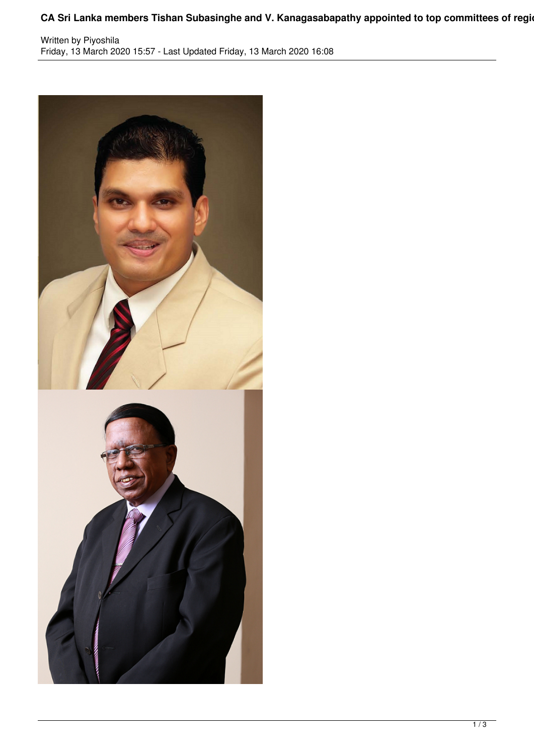## CA Sri Lanka members Tishan Subasinghe and V. Kanagasabapathy appointed to top committees of regional actors

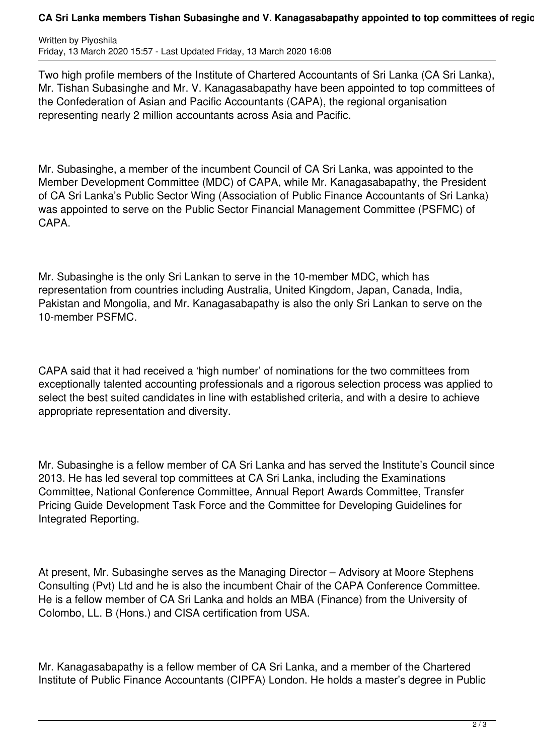## CA Sri Lanka members Tishan Subasinghe and V. Kanagasabapathy appointed to top committees of regional actor of

Written by Piyoshila Friday, 13 March 2020 15:57 - Last Updated Friday, 13 March 2020 16:08

Two high profile members of the Institute of Chartered Accountants of Sri Lanka (CA Sri Lanka), Mr. Tishan Subasinghe and Mr. V. Kanagasabapathy have been appointed to top committees of the Confederation of Asian and Pacific Accountants (CAPA), the regional organisation representing nearly 2 million accountants across Asia and Pacific.

Mr. Subasinghe, a member of the incumbent Council of CA Sri Lanka, was appointed to the Member Development Committee (MDC) of CAPA, while Mr. Kanagasabapathy, the President of CA Sri Lanka's Public Sector Wing (Association of Public Finance Accountants of Sri Lanka) was appointed to serve on the Public Sector Financial Management Committee (PSFMC) of CAPA.

Mr. Subasinghe is the only Sri Lankan to serve in the 10-member MDC, which has representation from countries including Australia, United Kingdom, Japan, Canada, India, Pakistan and Mongolia, and Mr. Kanagasabapathy is also the only Sri Lankan to serve on the 10-member PSFMC.

CAPA said that it had received a 'high number' of nominations for the two committees from exceptionally talented accounting professionals and a rigorous selection process was applied to select the best suited candidates in line with established criteria, and with a desire to achieve appropriate representation and diversity.

Mr. Subasinghe is a fellow member of CA Sri Lanka and has served the Institute's Council since 2013. He has led several top committees at CA Sri Lanka, including the Examinations Committee, National Conference Committee, Annual Report Awards Committee, Transfer Pricing Guide Development Task Force and the Committee for Developing Guidelines for Integrated Reporting.

At present, Mr. Subasinghe serves as the Managing Director – Advisory at Moore Stephens Consulting (Pvt) Ltd and he is also the incumbent Chair of the CAPA Conference Committee. He is a fellow member of CA Sri Lanka and holds an MBA (Finance) from the University of Colombo, LL. B (Hons.) and CISA certification from USA.

Mr. Kanagasabapathy is a fellow member of CA Sri Lanka, and a member of the Chartered Institute of Public Finance Accountants (CIPFA) London. He holds a master's degree in Public